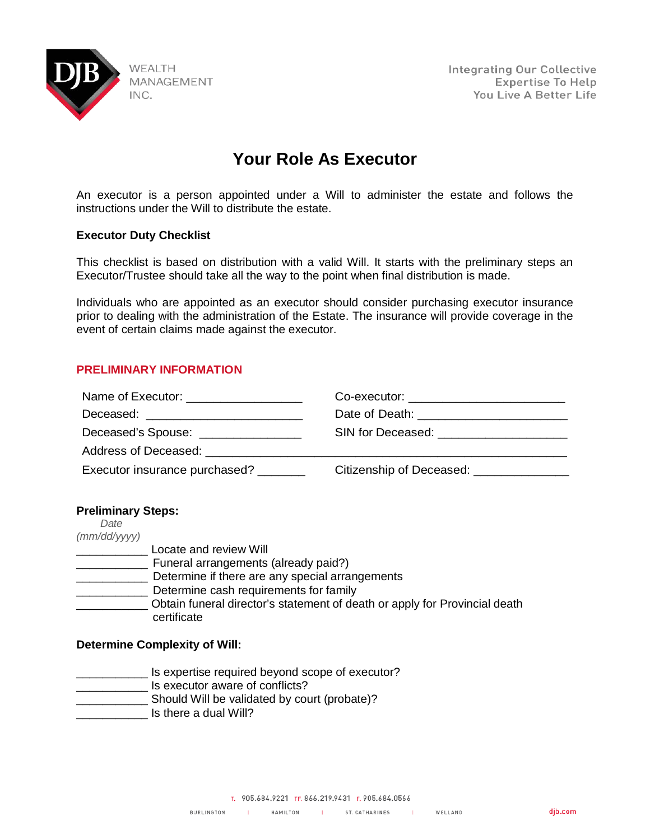

**Integrating Our Collective Expertise To Help** You Live A Better Life

# **Your Role As Executor**

An executor is a person appointed under a Will to administer the estate and follows the instructions under the Will to distribute the estate.

## **Executor Duty Checklist**

This checklist is based on distribution with a valid Will. It starts with the preliminary steps an Executor/Trustee should take all the way to the point when final distribution is made.

Individuals who are appointed as an executor should consider purchasing executor insurance prior to dealing with the administration of the Estate. The insurance will provide coverage in the event of certain claims made against the executor.

## **PRELIMINARY INFORMATION**

| Name of Executor: ____________________      | Co-executor: ________________________     |
|---------------------------------------------|-------------------------------------------|
| Deceased: <u>__________________________</u> |                                           |
| Deceased's Spouse: ________________         | SIN for Deceased: _______________________ |
| Address of Deceased: Address of Deceased:   |                                           |
| Executor insurance purchased?               | Citizenship of Deceased: ________________ |

## **Preliminary Steps:**

| Date         |                                                                            |
|--------------|----------------------------------------------------------------------------|
| (mm/dd/yyyy) |                                                                            |
|              | Locate and review Will                                                     |
|              | Funeral arrangements (already paid?)                                       |
|              | Determine if there are any special arrangements                            |
|              | Determine cash requirements for family                                     |
|              | Obtain funeral director's statement of death or apply for Provincial death |
|              | certificate                                                                |

## **Determine Complexity of Will:**

**where Terms** Is expertise required beyond scope of executor?

- \_\_\_\_\_\_\_\_\_\_\_ Is executor aware of conflicts?
- \_\_\_\_\_\_\_\_\_\_\_ Should Will be validated by court (probate)?
- Is there a dual Will?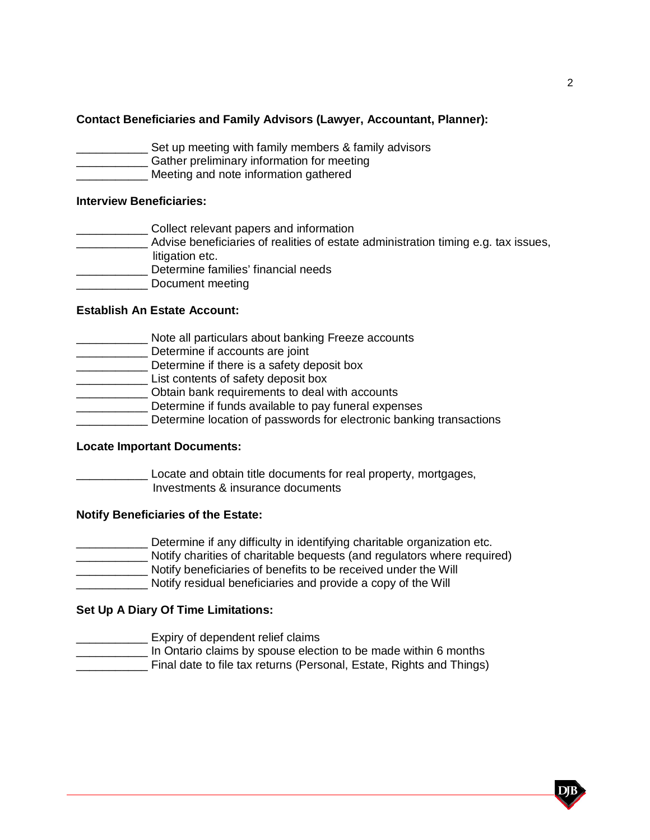# **Contact Beneficiaries and Family Advisors (Lawyer, Accountant, Planner):**

- Set up meeting with family members & family advisors
- **EXECUTE:** Gather preliminary information for meeting
- Meeting and note information gathered

#### **Interview Beneficiaries:**

- **Collect relevant papers and information**
- \_\_\_\_\_\_\_\_\_\_\_ Advise beneficiaries of realities of estate administration timing e.g. tax issues, litigation etc.
- \_\_\_\_\_\_\_\_\_\_\_ Determine families' financial needs
- \_\_\_\_\_\_\_\_\_\_\_ Document meeting
- 

# **Establish An Estate Account:**

- \_\_\_\_\_\_\_ Note all particulars about banking Freeze accounts
- **Determine if accounts are joint**
- \_\_\_\_\_\_\_\_\_\_\_ Determine if there is a safety deposit box
- \_\_\_\_\_\_\_\_\_\_\_ List contents of safety deposit box
- \_\_\_\_\_\_\_\_\_\_\_ Obtain bank requirements to deal with accounts
- **EXECUTE:** Determine if funds available to pay funeral expenses
- Determine location of passwords for electronic banking transactions

#### **Locate Important Documents:**

Locate and obtain title documents for real property, mortgages, Investments & insurance documents

## **Notify Beneficiaries of the Estate:**

- **\_\_\_\_\_\_** Determine if any difficulty in identifying charitable organization etc.
- \_\_\_\_\_\_\_\_\_\_\_ Notify charities of charitable bequests (and regulators where required)
- \_\_\_\_\_\_\_\_\_\_\_ Notify beneficiaries of benefits to be received under the Will
- \_\_\_\_\_\_\_\_\_\_\_ Notify residual beneficiaries and provide a copy of the Will

## **Set Up A Diary Of Time Limitations:**

- \_\_\_\_\_\_\_\_\_\_\_ Expiry of dependent relief claims
- In Ontario claims by spouse election to be made within 6 months
- **\_\_\_\_\_\_\_\_\_** Final date to file tax returns (Personal, Estate, Rights and Things)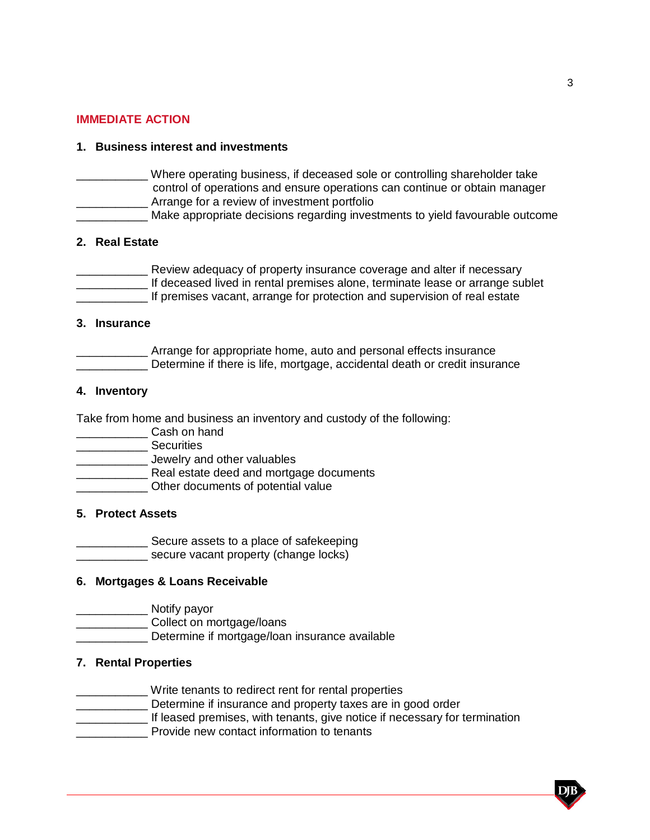# **IMMEDIATE ACTION**

# **1. Business interest and investments**

- \_\_\_\_\_\_\_\_\_\_\_ Where operating business, if deceased sole or controlling shareholder take control of operations and ensure operations can continue or obtain manager **EXECUTE:** Arrange for a review of investment portfolio
- **\_\_\_\_\_\_\_\_\_\_** Make appropriate decisions regarding investments to yield favourable outcome

## **2. Real Estate**

**EXECTE 2018** Review adequacy of property insurance coverage and alter if necessary \_\_\_\_\_\_\_\_\_\_\_ If deceased lived in rental premises alone, terminate lease or arrange sublet If premises vacant, arrange for protection and supervision of real estate

#### **3. Insurance**

Arrange for appropriate home, auto and personal effects insurance Determine if there is life, mortgage, accidental death or credit insurance

# **4. Inventory**

Take from home and business an inventory and custody of the following:

- \_\_\_\_\_\_\_\_\_\_\_ Cash on hand
- \_\_\_\_\_\_\_\_\_\_\_ Securities
- \_\_\_\_\_\_\_\_\_\_\_ Jewelry and other valuables
- \_\_\_\_\_\_\_\_\_\_\_ Real estate deed and mortgage documents
- **EXALGE 20** Other documents of potential value

## **5. Protect Assets**

**EXECUTE:** Secure assets to a place of safekeeping

**Example 2** secure vacant property (change locks)

# **6. Mortgages & Loans Receivable**

\_\_\_\_\_\_\_\_\_\_\_ Notify payor

- \_\_\_\_\_\_\_\_\_\_\_ Collect on mortgage/loans
- Determine if mortgage/loan insurance available

## **7. Rental Properties**

- Write tenants to redirect rent for rental properties
- \_\_\_\_\_\_\_\_\_\_\_ Determine if insurance and property taxes are in good order
- **\_\_\_\_\_\_\_\_\_\_\_\_\_\_** If leased premises, with tenants, give notice if necessary for termination
- Provide new contact information to tenants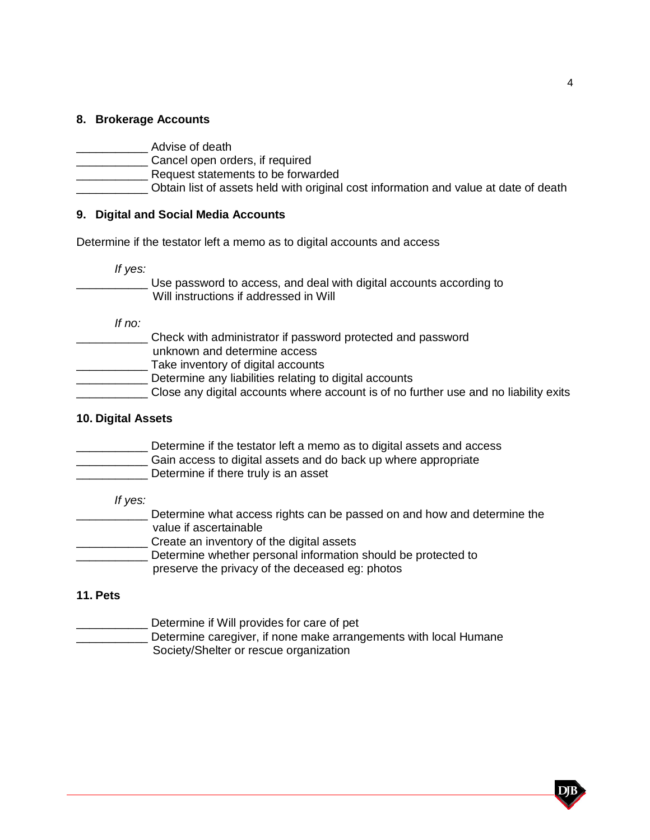# **8. Brokerage Accounts**

- \_\_\_\_\_\_\_\_\_\_\_ Cancel open orders, if required
- \_\_\_\_\_\_\_\_\_\_\_ Request statements to be forwarded
- \_\_\_\_\_\_\_\_\_\_\_ Obtain list of assets held with original cost information and value at date of death

# **9. Digital and Social Media Accounts**

Determine if the testator left a memo as to digital accounts and access

*If yes:*

\_\_\_\_\_\_\_\_\_\_\_ Use password to access, and deal with digital accounts according to Will instructions if addressed in Will

*If no:*

- \_\_\_\_\_\_\_\_\_\_\_ Check with administrator if password protected and password unknown and determine access
- **EXALGE THE TAKE INVERTOR OF DIGITAL ACCOUNTS**
- **EXECUTE:** Determine any liabilities relating to digital accounts
- **LECT** Close any digital accounts where account is of no further use and no liability exits

# **10. Digital Assets**

- **Determine if the testator left a memo as to digital assets and access**
- **\_\_\_\_\_\_\_\_\_\_\_\_** Gain access to digital assets and do back up where appropriate
- Determine if there truly is an asset

## *If yes:*

**EXECUTE:** Determine what access rights can be passed on and how and determine the value if ascertainable **EXECTE ADDE CONTROLLER CONTROLLER CONTROLLER** \_\_\_\_\_\_\_\_\_\_\_ Determine whether personal information should be protected to preserve the privacy of the deceased eg: photos

# **11. Pets**

\_\_\_\_\_\_\_\_\_\_\_ Determine if Will provides for care of pet Determine caregiver, if none make arrangements with local Humane Society/Shelter or rescue organization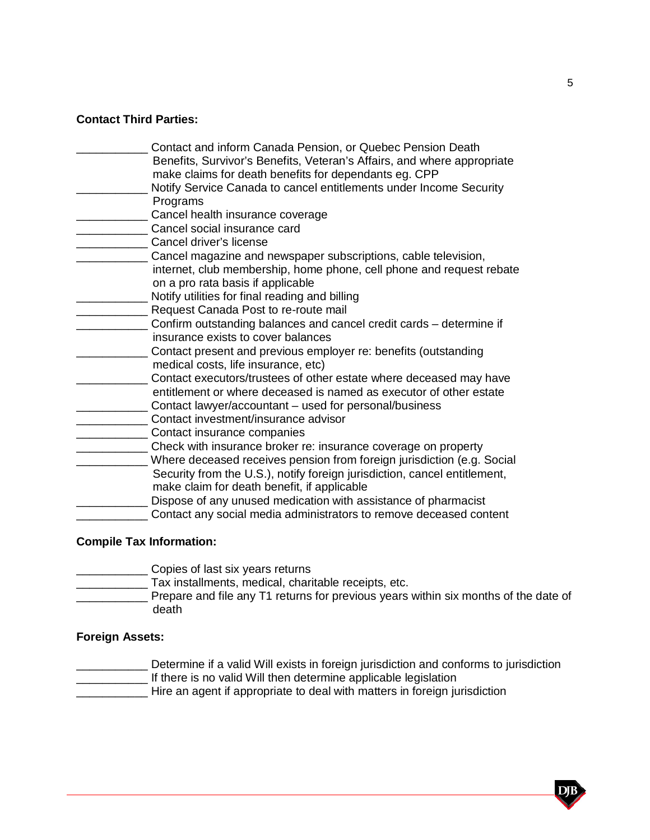# **Contact Third Parties:**

- \_\_\_\_\_\_\_\_\_\_\_ Contact and inform Canada Pension, or Quebec Pension Death Benefits, Survivor's Benefits, Veteran's Affairs, and where appropriate
	- make claims for death benefits for dependants eg. CPP Notify Service Canada to cancel entitlements under Income Security
- **Programs**
- Cancel health insurance coverage
- \_\_\_\_\_\_\_\_\_\_\_ Cancel social insurance card
- Cancel driver's license
- **EXECUTE:** Cancel magazine and newspaper subscriptions, cable television,
	- internet, club membership, home phone, cell phone and request rebate on a pro rata basis if applicable
- \_\_\_\_\_\_\_\_\_\_\_ Notify utilities for final reading and billing
- Request Canada Post to re-route mail
- **\_\_\_\_\_\_\_** Confirm outstanding balances and cancel credit cards determine if insurance exists to cover balances
- \_\_\_\_\_\_\_\_\_\_\_ Contact present and previous employer re: benefits (outstanding medical costs, life insurance, etc)
- \_\_\_\_\_ Contact executors/trustees of other estate where deceased may have entitlement or where deceased is named as executor of other estate
- \_\_\_\_\_\_ Contact lawyer/accountant used for personal/business
- **LECOLE CONTACT INVESTMENT/INSURANCE ADVISOR**
- \_\_\_\_\_\_\_\_\_\_\_ Contact insurance companies
- \_\_\_\_\_\_\_\_\_\_\_ Check with insurance broker re: insurance coverage on property
- \_\_\_\_\_\_\_\_\_\_\_ Where deceased receives pension from foreign jurisdiction (e.g. Social Security from the U.S.), notify foreign jurisdiction, cancel entitlement, make claim for death benefit, if applicable
- \_\_\_\_\_\_\_\_\_\_\_ Dispose of any unused medication with assistance of pharmacist
	- \_\_\_\_\_\_\_\_\_\_\_ Contact any social media administrators to remove deceased content

# **Compile Tax Information:**

- \_\_\_\_\_\_\_\_\_\_\_ Copies of last six years returns
- \_\_\_\_\_\_\_\_\_\_\_ Tax installments, medical, charitable receipts, etc.
- Prepare and file any T1 returns for previous years within six months of the date of death

# **Foreign Assets:**

- \_\_\_\_\_\_\_\_\_\_\_ Determine if a valid Will exists in foreign jurisdiction and conforms to jurisdiction
- If there is no valid Will then determine applicable legislation
- Hire an agent if appropriate to deal with matters in foreign jurisdiction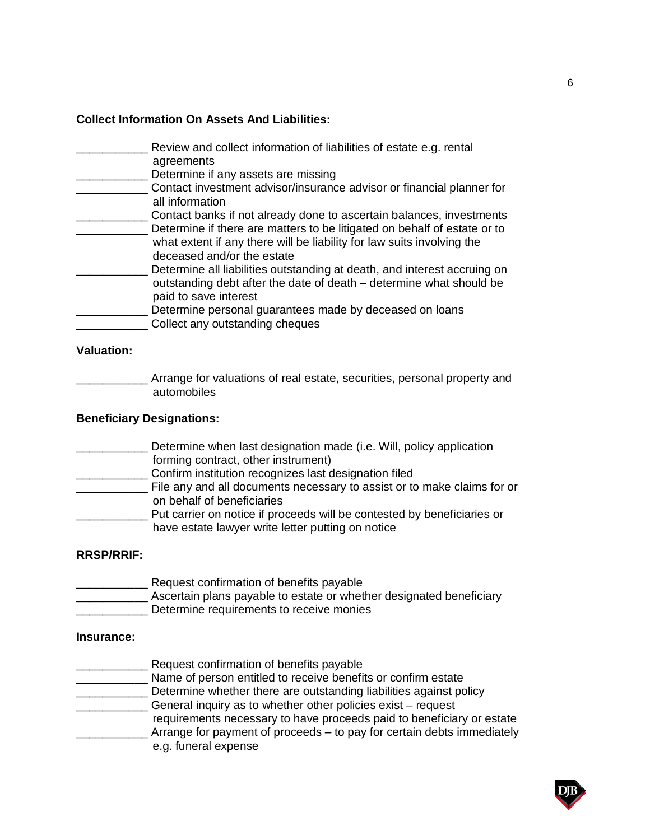## **Collect Information On Assets And Liabilities:**

- Review and collect information of liabilities of estate e.g. rental agreements **EXECUTE:** Determine if any assets are missing
- \_\_\_\_\_\_\_\_\_\_\_ Contact investment advisor/insurance advisor or financial planner for all information
- \_\_\_\_\_\_\_\_\_\_\_ Contact banks if not already done to ascertain balances, investments \_\_\_\_\_\_\_\_\_\_\_ Determine if there are matters to be litigated on behalf of estate or to what extent if any there will be liability for law suits involving the deceased and/or the estate
- Determine all liabilities outstanding at death, and interest accruing on outstanding debt after the date of death – determine what should be paid to save interest
- Determine personal guarantees made by deceased on loans
- \_\_\_\_\_\_\_\_\_\_\_ Collect any outstanding cheques

# **Valuation:**

**\_\_\_\_\_\_** Arrange for valuations of real estate, securities, personal property and automobiles

# **Beneficiary Designations:**

- **\_\_\_\_\_** Determine when last designation made (i.e. Will, policy application forming contract, other instrument)
- **EXECUTE:** Confirm institution recognizes last designation filed
- **File any and all documents necessary to assist or to make claims for or** on behalf of beneficiaries
- Put carrier on notice if proceeds will be contested by beneficiaries or have estate lawyer write letter putting on notice

# **RRSP/RRIF:**

**EXECUTE:** Request confirmation of benefits payable **Example 20** Ascertain plans payable to estate or whether designated beneficiary Determine requirements to receive monies

## **Insurance:**

- \_\_\_\_\_\_\_\_\_\_\_ Request confirmation of benefits payable
- **Example 20** Name of person entitled to receive benefits or confirm estate
- **LECT** Determine whether there are outstanding liabilities against policy
- \_\_\_\_\_\_\_\_\_\_\_ General inquiry as to whether other policies exist request
	- requirements necessary to have proceeds paid to beneficiary or estate \_\_\_\_\_\_\_\_\_\_\_ Arrange for payment of proceeds – to pay for certain debts immediately
		- e.g. funeral expense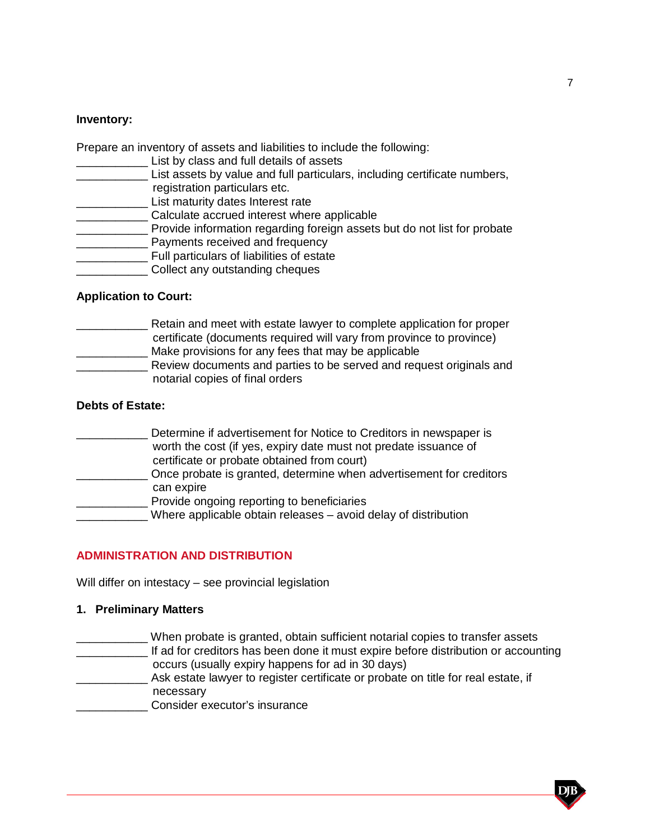## **Inventory:**

Prepare an inventory of assets and liabilities to include the following:

- **Lange 2.1** List by class and full details of assets
- \_\_\_\_\_\_\_\_\_\_\_ List assets by value and full particulars, including certificate numbers, registration particulars etc.
- **List maturity dates Interest rate**
- **EXECONCORDITY CALCULATE ACCRUMED CALCULATE ACCRUMED**
- **EXECTED** Provide information regarding foreign assets but do not list for probate
- **\_\_\_\_\_\_\_\_\_** Payments received and frequency
- \_\_\_\_\_\_\_\_\_\_\_ Full particulars of liabilities of estate
- \_\_\_\_\_\_\_\_\_\_\_ Collect any outstanding cheques

# **Application to Court:**

\_\_\_\_\_\_\_\_\_\_\_ Retain and meet with estate lawyer to complete application for proper certificate (documents required will vary from province to province) \_\_\_\_\_\_\_\_\_ Make provisions for any fees that may be applicable **Number 2016** Review documents and parties to be served and request originals and notarial copies of final orders

# **Debts of Estate:**

| Determine if advertisement for Notice to Creditors in newspaper is  |
|---------------------------------------------------------------------|
| worth the cost (if yes, expiry date must not predate issuance of    |
| certificate or probate obtained from court)                         |
| Once probate is granted, determine when advertisement for creditors |
| can expire                                                          |
| Provide ongoing reporting to beneficiaries                          |
| Where applicable obtain releases - avoid delay of distribution      |

# **ADMINISTRATION AND DISTRIBUTION**

Will differ on intestacy – see provincial legislation

## **1. Preliminary Matters**

- \_\_\_\_\_\_\_\_\_\_\_ When probate is granted, obtain sufficient notarial copies to transfer assets **\_\_\_\_\_\_\_\_\_\_\_** If ad for creditors has been done it must expire before distribution or accounting occurs (usually expiry happens for ad in 30 days) \_\_\_\_\_\_\_\_\_\_\_ Ask estate lawyer to register certificate or probate on title for real estate, if necessary
- \_\_\_\_\_\_\_\_\_\_\_ Consider executor's insurance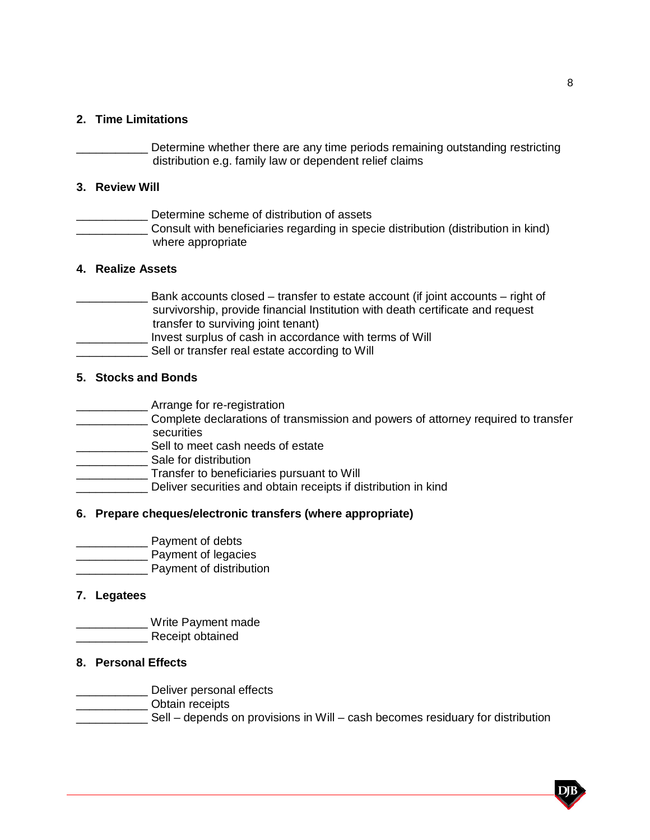# **2. Time Limitations**

Determine whether there are any time periods remaining outstanding restricting distribution e.g. family law or dependent relief claims

## **3. Review Will**

Determine scheme of distribution of assets \_\_\_\_\_\_\_\_\_\_\_ Consult with beneficiaries regarding in specie distribution (distribution in kind) where appropriate

# **4. Realize Assets**

\_\_\_\_\_\_\_\_\_\_\_ Bank accounts closed – transfer to estate account (if joint accounts – right of survivorship, provide financial Institution with death certificate and request transfer to surviving joint tenant) \_\_\_\_\_\_\_\_\_\_\_ Invest surplus of cash in accordance with terms of Will Sell or transfer real estate according to Will

## **5. Stocks and Bonds**

- **Example 1** Arrange for re-registration
- **EXECOMPLE COMPLETE declarations of transmission and powers of attorney required to transfer** securities
- \_\_\_\_\_\_\_\_\_\_\_ Sell to meet cash needs of estate
- \_\_\_\_\_\_\_\_\_\_\_ Sale for distribution
- \_\_\_\_\_\_\_\_\_\_\_ Transfer to beneficiaries pursuant to Will
- \_\_\_\_\_\_\_\_\_\_\_ Deliver securities and obtain receipts if distribution in kind

## **6. Prepare cheques/electronic transfers (where appropriate)**

- \_\_\_\_\_\_\_\_\_\_\_ Payment of debts
- \_\_\_\_\_\_\_\_\_\_\_ Payment of legacies
- \_\_\_\_\_\_\_\_\_\_\_ Payment of distribution

# **7. Legatees**

- **Write Payment made**
- Receipt obtained

## **8. Personal Effects**

- **LETTE** Deliver personal effects
- \_\_\_\_\_\_\_\_\_\_\_ Obtain receipts
- **EXECUCITE:** Sell depends on provisions in Will cash becomes residuary for distribution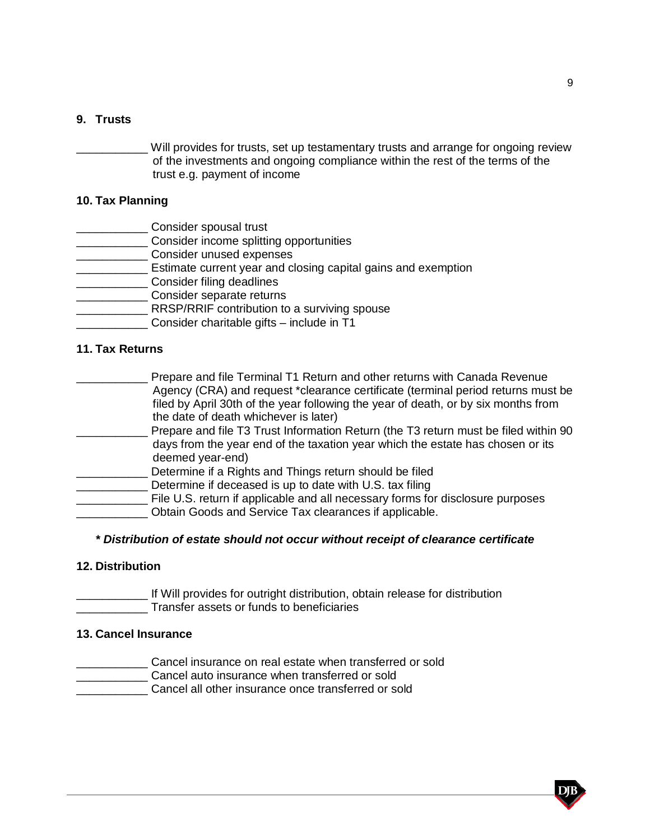# **9. Trusts**

Will provides for trusts, set up testamentary trusts and arrange for ongoing review of the investments and ongoing compliance within the rest of the terms of the trust e.g. payment of income

## **10. Tax Planning**

- **Consider spousal trust**
- **EXALLET CONSIDER INCOME Splitting opportunities**
- \_\_\_\_\_\_\_\_\_\_\_ Consider unused expenses
- **\_\_\_\_\_\_\_\_\_\_\_\_\_\_\_** Estimate current year and closing capital gains and exemption
- **Consider filing deadlines**
- \_\_\_\_\_\_\_\_\_\_\_ Consider separate returns
- **EXECUTE:** RRSP/RRIF contribution to a surviving spouse
- \_\_\_\_\_\_\_\_\_\_\_ Consider charitable gifts include in T1

# **11. Tax Returns**

| Prepare and file Terminal T1 Return and other returns with Canada Revenue           |
|-------------------------------------------------------------------------------------|
| Agency (CRA) and request *clearance certificate (terminal period returns must be    |
| filed by April 30th of the year following the year of death, or by six months from  |
| the date of death whichever is later)                                               |
| Prepare and file T3 Trust Information Return (the T3 return must be filed within 90 |
|                                                                                     |

- days from the year end of the taxation year which the estate has chosen or its deemed year-end)
- Determine if a Rights and Things return should be filed
	- Determine if deceased is up to date with U.S. tax filing
- \_\_\_\_\_\_\_\_\_\_\_ File U.S. return if applicable and all necessary forms for disclosure purposes \_\_\_\_\_\_\_\_\_\_\_ Obtain Goods and Service Tax clearances if applicable.

#### *\* Distribution of estate should not occur without receipt of clearance certificate*

## **12. Distribution**

**with the lit Will provides for outright distribution, obtain release for distribution** \_\_\_\_\_\_\_\_\_\_\_ Transfer assets or funds to beneficiaries

## **13. Cancel Insurance**

- **Cancel insurance on real estate when transferred or sold**
- **EXALGE 2018 CANCEL AUTOMOTIVE CANCEL AUTOMOTIVE CANCEL**
- \_\_\_\_\_\_\_\_\_\_\_ Cancel all other insurance once transferred or sold